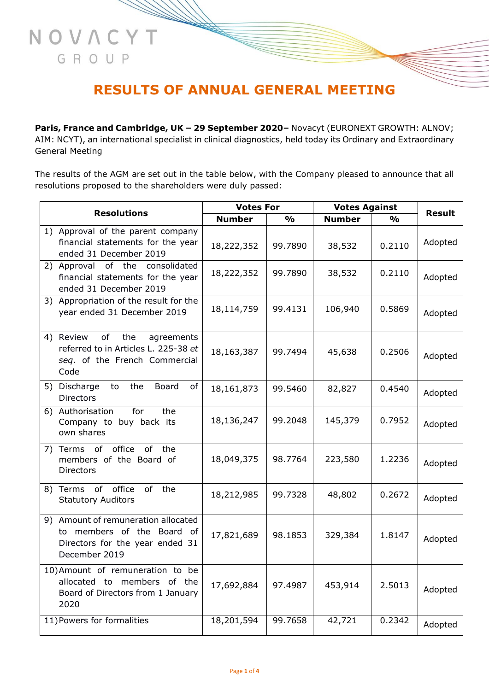## **RESULTS OF ANNUAL GENERAL MEETING**

NOVACYT

GROUP

**Paris, France and Cambridge, UK – 29 September 2020–** Novacyt (EURONEXT GROWTH: ALNOV; AIM: NCYT), an international specialist in clinical diagnostics, held today its Ordinary and Extraordinary General Meeting

The results of the AGM are set out in the table below, with the Company pleased to announce that all resolutions proposed to the shareholders were duly passed:

| <b>Resolutions</b> |                                                                                                                       | <b>Votes For</b> |               | <b>Votes Against</b> |               |               |
|--------------------|-----------------------------------------------------------------------------------------------------------------------|------------------|---------------|----------------------|---------------|---------------|
|                    |                                                                                                                       | <b>Number</b>    | $\frac{0}{0}$ | <b>Number</b>        | $\frac{0}{0}$ | <b>Result</b> |
|                    | 1) Approval of the parent company<br>financial statements for the year<br>ended 31 December 2019                      | 18,222,352       | 99.7890       | 38,532               | 0.2110        | Adopted       |
|                    | 2) Approval of the consolidated<br>financial statements for the year<br>ended 31 December 2019                        | 18,222,352       | 99.7890       | 38,532               | 0.2110        | Adopted       |
|                    | 3) Appropriation of the result for the<br>year ended 31 December 2019                                                 | 18,114,759       | 99.4131       | 106,940              | 0.5869        | Adopted       |
|                    | of<br>4) Review<br>the<br>agreements<br>referred to in Articles L. 225-38 et<br>seq. of the French Commercial<br>Code | 18,163,387       | 99.7494       | 45,638               | 0.2506        | Adopted       |
|                    | 5) Discharge<br>to<br>the<br>Board<br>of<br><b>Directors</b>                                                          | 18,161,873       | 99.5460       | 82,827               | 0.4540        | Adopted       |
|                    | 6) Authorisation<br>for<br>the<br>Company to buy back its<br>own shares                                               | 18,136,247       | 99.2048       | 145,379              | 0.7952        | Adopted       |
|                    | office<br>of<br>the<br>7) Terms of<br>members of the Board of<br><b>Directors</b>                                     | 18,049,375       | 98.7764       | 223,580              | 1.2236        | Adopted       |
|                    | 8) Terms of office<br>of<br>the<br><b>Statutory Auditors</b>                                                          | 18,212,985       | 99.7328       | 48,802               | 0.2672        | Adopted       |
|                    | 9) Amount of remuneration allocated<br>to members of the Board of<br>Directors for the year ended 31<br>December 2019 | 17,821,689       | 98.1853       | 329,384              | 1.8147        | Adopted       |
|                    | 10) Amount of remuneration to be<br>allocated to members of the<br>Board of Directors from 1 January<br>2020          | 17,692,884       | 97.4987       | 453,914              | 2.5013        | Adopted       |
|                    | 11) Powers for formalities                                                                                            | 18,201,594       | 99.7658       | 42,721               | 0.2342        | Adopted       |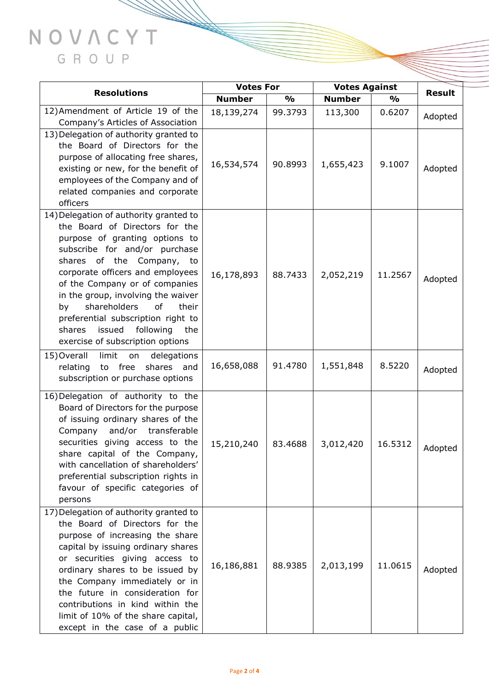## NOVACYT GROUP

**Same of the Same of the South of the South of the South of the South of the South of the South of the South of the South of the South of the South of the South of the South of the South of the South of the South of the So** 

| <b>Resolutions</b>                                                      | <b>Votes For</b> |               | <b>Votes Against</b> |               |               |
|-------------------------------------------------------------------------|------------------|---------------|----------------------|---------------|---------------|
|                                                                         | <b>Number</b>    | $\frac{1}{2}$ | <b>Number</b>        | $\frac{1}{2}$ | <b>Result</b> |
| 12) Amendment of Article 19 of the                                      | 18,139,274       | 99.3793       | 113,300              | 0.6207        | Adopted       |
| Company's Articles of Association                                       |                  |               |                      |               |               |
| 13) Delegation of authority granted to                                  |                  |               |                      |               |               |
| the Board of Directors for the                                          |                  |               |                      |               |               |
| purpose of allocating free shares,                                      | 16,534,574       | 90.8993       | 1,655,423            | 9.1007        |               |
| existing or new, for the benefit of<br>employees of the Company and of  |                  |               |                      |               | Adopted       |
| related companies and corporate                                         |                  |               |                      |               |               |
| officers                                                                |                  |               |                      |               |               |
| 14) Delegation of authority granted to                                  |                  |               |                      |               |               |
| the Board of Directors for the                                          |                  |               |                      |               |               |
| purpose of granting options to                                          |                  |               |                      |               |               |
| subscribe for and/or purchase                                           |                  |               |                      |               |               |
| shares of the Company, to                                               |                  |               |                      |               |               |
| corporate officers and employees                                        | 16,178,893       | 88.7433       | 2,052,219            | 11.2567       | Adopted       |
| of the Company or of companies                                          |                  |               |                      |               |               |
| in the group, involving the waiver                                      |                  |               |                      |               |               |
| shareholders<br>of<br>their<br>by                                       |                  |               |                      |               |               |
| preferential subscription right to<br>issued following<br>shares<br>the |                  |               |                      |               |               |
| exercise of subscription options                                        |                  |               |                      |               |               |
| limit<br>15) Overall<br>delegations<br>on                               |                  |               |                      |               |               |
| to free<br>shares and<br>relating                                       | 16,658,088       | 91.4780       | 1,551,848            | 8.5220        |               |
| subscription or purchase options                                        |                  |               |                      |               | Adopted       |
| 16) Delegation of authority to the                                      |                  |               |                      |               |               |
| Board of Directors for the purpose                                      |                  |               |                      |               |               |
| of issuing ordinary shares of the                                       |                  |               |                      |               |               |
| and/or transferable<br>Company                                          |                  |               |                      |               |               |
| securities giving access to the                                         | 15,210,240       | 83.4688       | 3,012,420            | 16.5312       |               |
| share capital of the Company,                                           |                  |               |                      |               | Adopted       |
| with cancellation of shareholders'                                      |                  |               |                      |               |               |
| preferential subscription rights in                                     |                  |               |                      |               |               |
| favour of specific categories of                                        |                  |               |                      |               |               |
| persons                                                                 |                  |               |                      |               |               |
| 17) Delegation of authority granted to                                  |                  |               |                      |               |               |
| the Board of Directors for the<br>purpose of increasing the share       |                  |               |                      |               |               |
| capital by issuing ordinary shares                                      |                  |               |                      |               |               |
| or securities giving access to                                          |                  |               |                      |               |               |
| ordinary shares to be issued by                                         | 16,186,881       | 88.9385       | 2,013,199            | 11.0615       | Adopted       |
| the Company immediately or in                                           |                  |               |                      |               |               |
| the future in consideration for                                         |                  |               |                      |               |               |
| contributions in kind within the                                        |                  |               |                      |               |               |
| limit of 10% of the share capital,                                      |                  |               |                      |               |               |
| except in the case of a public                                          |                  |               |                      |               |               |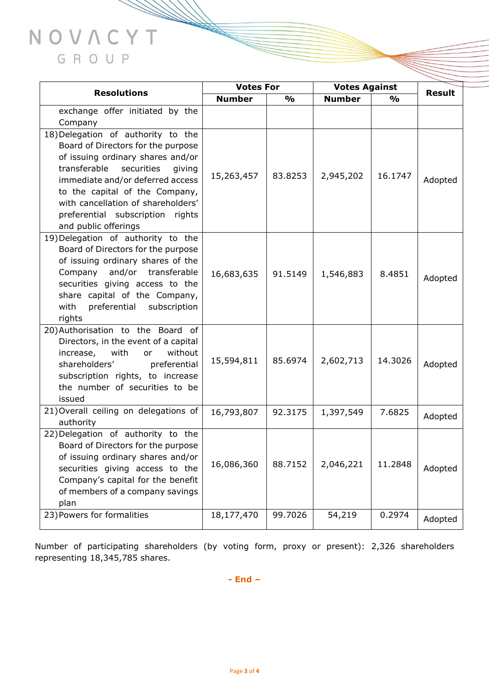## NOVACYT GROUP

| <b>Resolutions</b>                                                        | <b>Votes For</b> |               | <b>Votes Against</b> |               | <b>Result</b> |
|---------------------------------------------------------------------------|------------------|---------------|----------------------|---------------|---------------|
|                                                                           | <b>Number</b>    | $\frac{0}{0}$ | <b>Number</b>        | $\frac{1}{2}$ |               |
| exchange offer initiated by the                                           |                  |               |                      |               |               |
| Company                                                                   |                  |               |                      |               |               |
| 18) Delegation of authority to the                                        |                  |               |                      |               |               |
| Board of Directors for the purpose                                        |                  |               |                      |               |               |
| of issuing ordinary shares and/or                                         |                  |               |                      |               |               |
| securities<br>transferable<br>giving                                      | 15,263,457       | 83.8253       | 2,945,202            | 16.1747       |               |
| immediate and/or deferred access                                          |                  |               |                      |               | Adopted       |
| to the capital of the Company,                                            |                  |               |                      |               |               |
| with cancellation of shareholders'                                        |                  |               |                      |               |               |
| preferential subscription rights                                          |                  |               |                      |               |               |
| and public offerings                                                      |                  |               |                      |               |               |
| 19) Delegation of authority to the                                        |                  |               |                      |               |               |
| Board of Directors for the purpose                                        |                  |               |                      |               |               |
| of issuing ordinary shares of the                                         |                  |               |                      |               |               |
| Company and/or transferable                                               | 16,683,635       | 91.5149       | 1,546,883            | 8.4851        | Adopted       |
| securities giving access to the                                           |                  |               |                      |               |               |
| share capital of the Company,                                             |                  |               |                      |               |               |
| preferential subscription<br>with                                         |                  |               |                      |               |               |
| rights                                                                    |                  |               |                      |               |               |
| 20) Authorisation to the Board of<br>Directors, in the event of a capital |                  |               |                      |               |               |
| with<br>without<br>increase,<br>or                                        |                  |               |                      |               |               |
| shareholders'<br>preferential                                             | 15,594,811       | 85.6974       | 2,602,713            | 14.3026       | Adopted       |
| subscription rights, to increase                                          |                  |               |                      |               |               |
| the number of securities to be                                            |                  |               |                      |               |               |
| issued                                                                    |                  |               |                      |               |               |
| 21) Overall ceiling on delegations of                                     | 16,793,807       | 92.3175       | 1,397,549            | 7.6825        |               |
| authority                                                                 |                  |               |                      |               | Adopted       |
| 22) Delegation of authority to the                                        |                  |               |                      |               |               |
| Board of Directors for the purpose                                        |                  |               |                      |               |               |
| of issuing ordinary shares and/or                                         |                  |               |                      |               |               |
| securities giving access to the                                           | 16,086,360       | 88.7152       | 2,046,221            | 11.2848       | Adopted       |
| Company's capital for the benefit                                         |                  |               |                      |               |               |
| of members of a company savings                                           |                  |               |                      |               |               |
| plan                                                                      |                  |               |                      |               |               |
| 23) Powers for formalities                                                | 18,177,470       | 99.7026       | 54,219               | 0.2974        | Adopted       |
|                                                                           |                  |               |                      |               |               |

Number of participating shareholders (by voting form, proxy or present): 2,326 shareholders representing 18,345,785 shares.

**- End –**